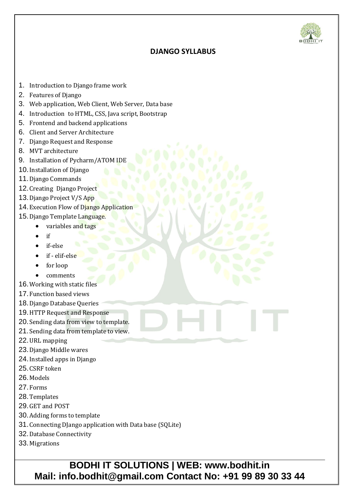

## **DJANGO SYLLABUS**

- 1. Introduction to Django frame work
- 2. Features of Django
- 3. Web application, Web Client, Web Server, Data base
- 4. Introduction to HTML, CSS, Java script, Bootstrap
- 5. Frontend and backend applications
- 6. Client and Server Architecture
- 7. Django Request and Response
- 8. MVT architecture
- 9. Installation of Pycharm/ATOM IDE
- 10.Installation of Django
- 11.Django Commands
- 12.Creating Django Project
- 13.Django Project V/S App
- 14. Execution Flow of Diango Application
- 15. Django Template Language.
	- variables and tags
	- $\bullet$  if
	- if-else
	- if elif-else
	- for loop
	- comments
- 16.Working with static files
- 17.Function based views
- 18.Django Database Queries
- 19.HTTP Request and Response
- 20. Sending data from view to template.
- 21. Sending data from template to view.
- 22.URL mapping
- 23.Django Middle wares
- 24.Installed apps in Django
- 25.CSRF token
- 26.Models
- 27.Forms
- 28.Templates
- 29.GET and POST
- 30.Adding forms to template
- 31.Connecting DJango application with Data base (SQLite)
- 32.Database Connectivity
- 33.Migrations

**BODHI IT SOLUTIONS | WEB: www.bodhit.in Mail: info.bodhit@gmail.com Contact No: +91 99 89 30 33 44**